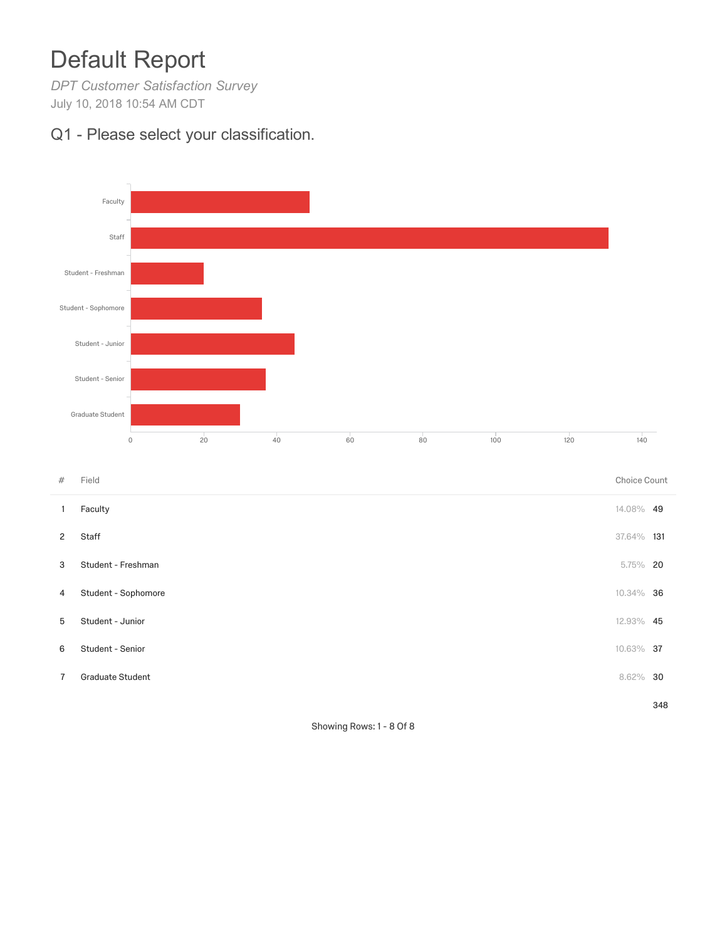# Default Report

*DPT Customer Satisfaction Survey* July 10, 2018 10:54 AM CDT

# Q1 - Please select your classification.



Showing Rows: 1 - 8 Of 8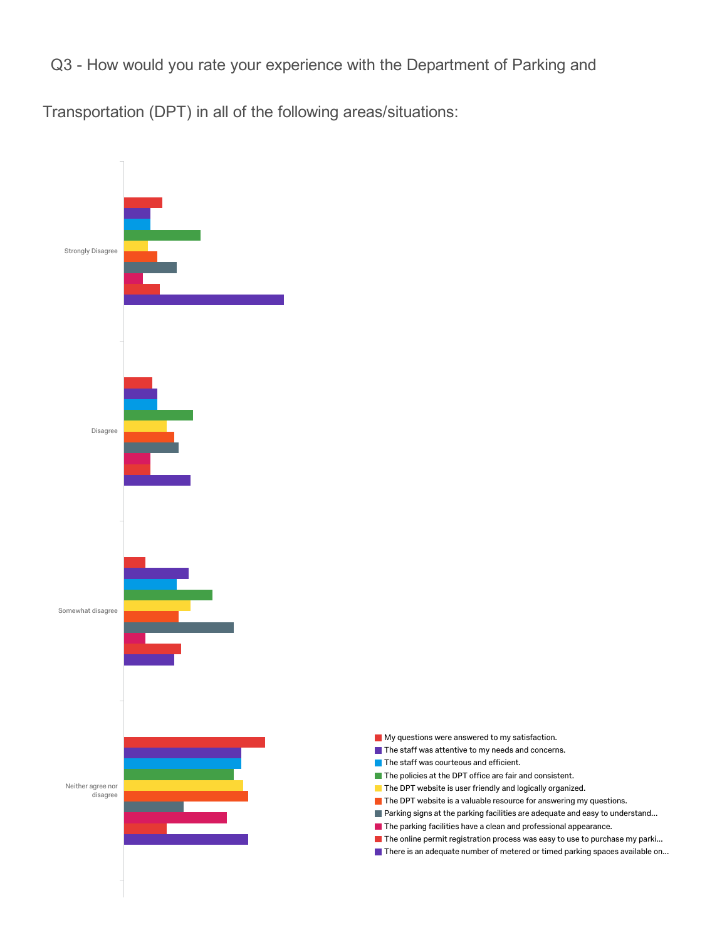Q3 - How would you rate your experience with the Department of Parking and

Transportation (DPT) in all of the following areas/situations:



- My questions were answered to my satisfaction.
- The staff was attentive to my needs and concerns.
- The staff was courteous and efficient.
- **The policies at the DPT office are fair and consistent.**
- The DPT website is user friendly and logically organized.
- The DPT website is a valuable resource for answering my questions.
- **Parking signs at the parking facilities are adequate and easy to understand...**
- **The parking facilities have a clean and professional appearance.**
- The online permit registration process was easy to use to purchase my parki...
- **There is an adequate number of metered or timed parking spaces available on...**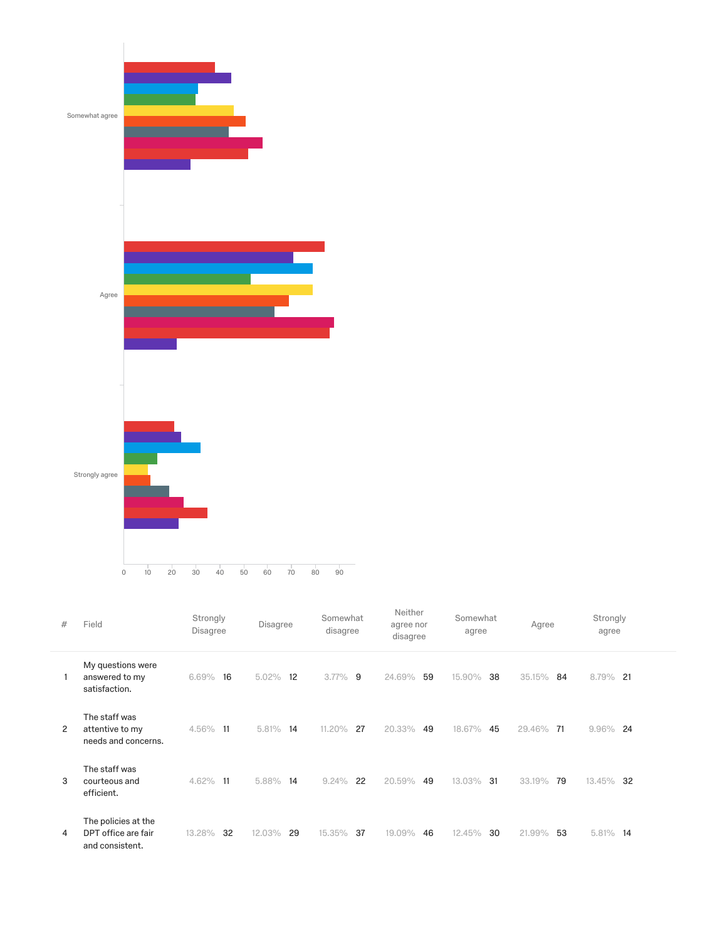

| # | Field                                                         | Strongly<br>Disagree | Disagree     | Somewhat<br>disagree | Neither<br>agree nor<br>disagree | Somewhat<br>agree | Agree        | Strongly<br>agree |  |
|---|---------------------------------------------------------------|----------------------|--------------|----------------------|----------------------------------|-------------------|--------------|-------------------|--|
|   | My questions were<br>answered to my<br>satisfaction.          | 16<br>6.69%          | $5.02\%$ 12  | $3.77\%$<br>9        | 24.69%<br>59                     | 15.90%<br>38      | 35.15%<br>84 | 8.79%<br>-21      |  |
| 2 | The staff was<br>attentive to my<br>needs and concerns.       | 4.56% 11             | 5.81%<br>14  | 11.20%<br>27         | 20.33%<br>49                     | 18.67%<br>45      | 29.46%<br>71 | 9.96%<br>24       |  |
| 3 | The staff was<br>courteous and<br>efficient.                  | $4.62\%$ 11          | 5.88% 14     | 9.24%<br>22          | 20.59%<br>49                     | 13.03%<br>31      | 33.19%<br>79 | 13.45%<br>32      |  |
| 4 | The policies at the<br>DPT office are fair<br>and consistent. | 13.28%<br>32         | 29<br>12.03% | 15.35%<br>37         | 19.09%<br>46                     | 12.45%<br>30      | 53<br>21.99% | 5.81%<br>14       |  |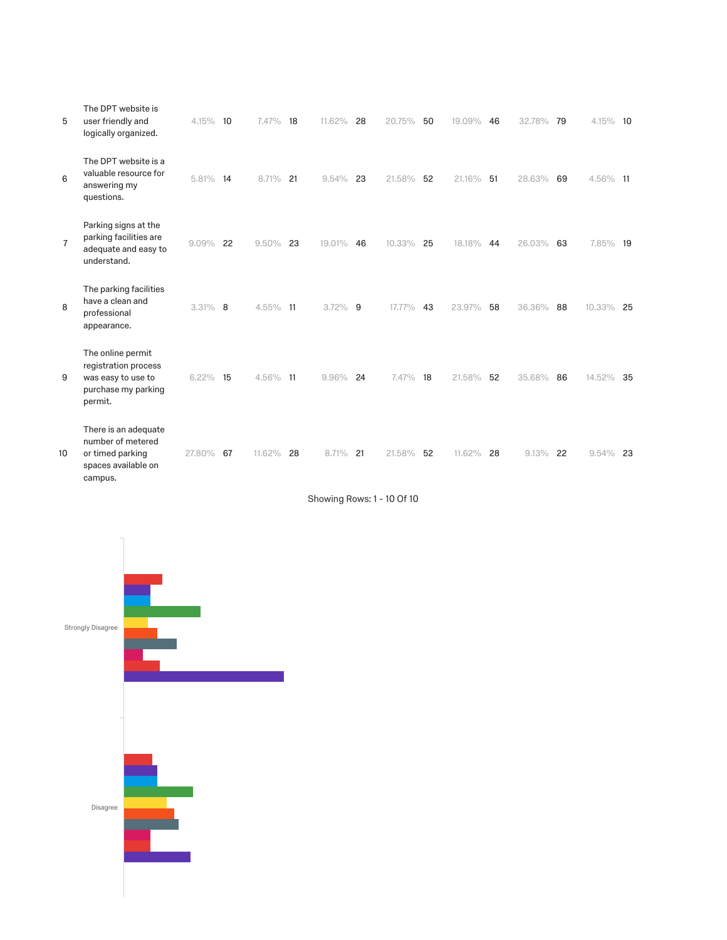| 5              | The DPT website is<br>user friendly and<br>logically organized.                                   | 4.15%       | 10 | 7.47%    | 18 | 11.62% | 28  | 20.75% | 50 | 19.09% | 46 | 32.78% | 79 | 4.15%    | - 10 |
|----------------|---------------------------------------------------------------------------------------------------|-------------|----|----------|----|--------|-----|--------|----|--------|----|--------|----|----------|------|
| 6              | The DPT website is a<br>valuable resource for<br>answering my<br>questions.                       | 5.81% 14    |    | 8.71%    | 21 | 9.54%  | 23  | 21.58% | 52 | 21.16% | 51 | 28.63% | 69 | 4.56% 11 |      |
| $\overline{7}$ | Parking signs at the<br>parking facilities are<br>adequate and easy to<br>understand.             | $9.09\%$    | 22 | $9.50\%$ | 23 | 19.01% | 46  | 10.33% | 25 | 18.18% | 44 | 26.03% | 63 | 7.85% 19 |      |
| 8              | The parking facilities<br>have a clean and<br>professional<br>appearance.                         | $3.31\%$ 8  |    | 4.55% 11 |    | 3.72%  | - 9 | 17.77% | 43 | 23.97% | 58 | 36.36% | 88 | 10.33%   | 25   |
| 9              | The online permit<br>registration process<br>was easy to use to<br>purchase my parking<br>permit. | $6.22\%$ 15 |    | 4.56% 11 |    | 9.96%  | 24  | 7.47%  | 18 | 21.58% | 52 | 35.68% | 86 | 14.52%   | -35  |
| 10             | There is an adequate<br>number of metered<br>or timed parking<br>spaces available on<br>campus.   | 27.80%      | 67 | 11.62%   | 28 | 8.71%  | 21  | 21.58% | 52 | 11.62% | 28 | 9.13%  | 22 | 9.54%    | 23   |

Showing Rows: 1 - 10 Of 10

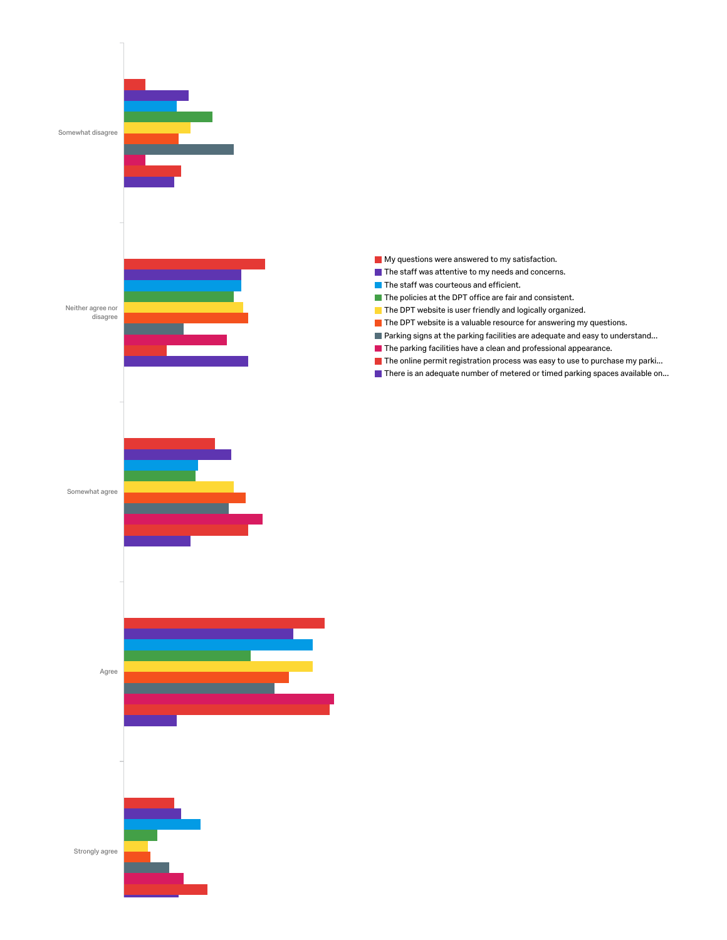

- My questions were answered to my satisfaction.
- The staff was attentive to my needs and concerns.
- **The staff was courteous and efficient.**
- The policies at the DPT office are fair and consistent.
- The DPT website is user friendly and logically organized.
- The DPT website is a valuable resource for answering my questions.
- **Parking signs at the parking facilities are adequate and easy to understand...**
- **The parking facilities have a clean and professional appearance.**
- The online permit registration process was easy to use to purchase my parki...
- **There is an adequate number of metered or timed parking spaces available on...**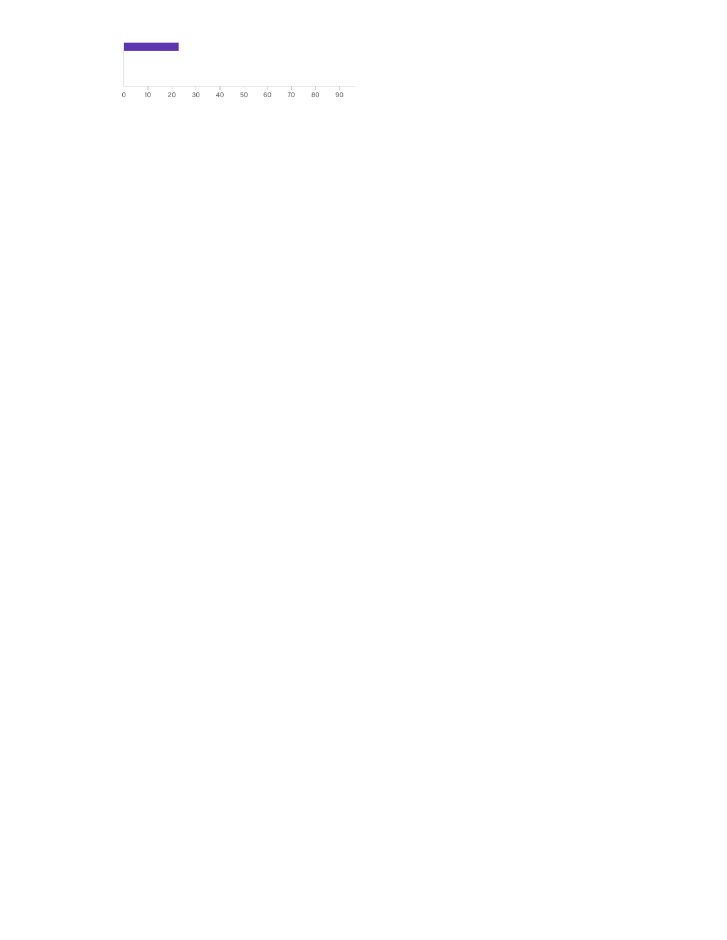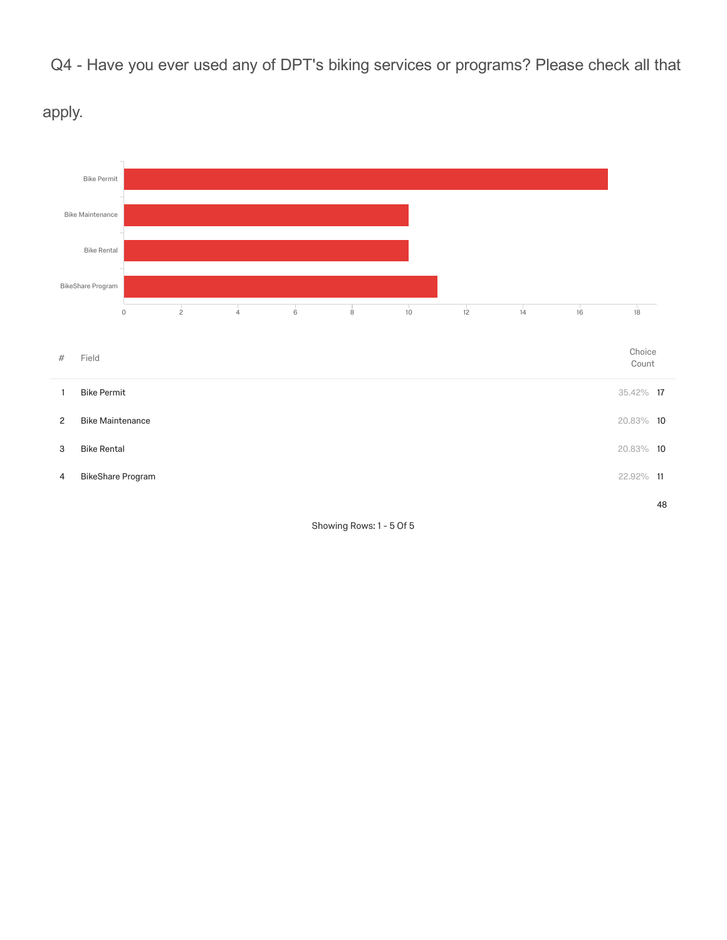Q4 - Have you ever used any of DPT's biking services or programs? Please check all that



apply.

Showing Rows: 1 - 5 Of 5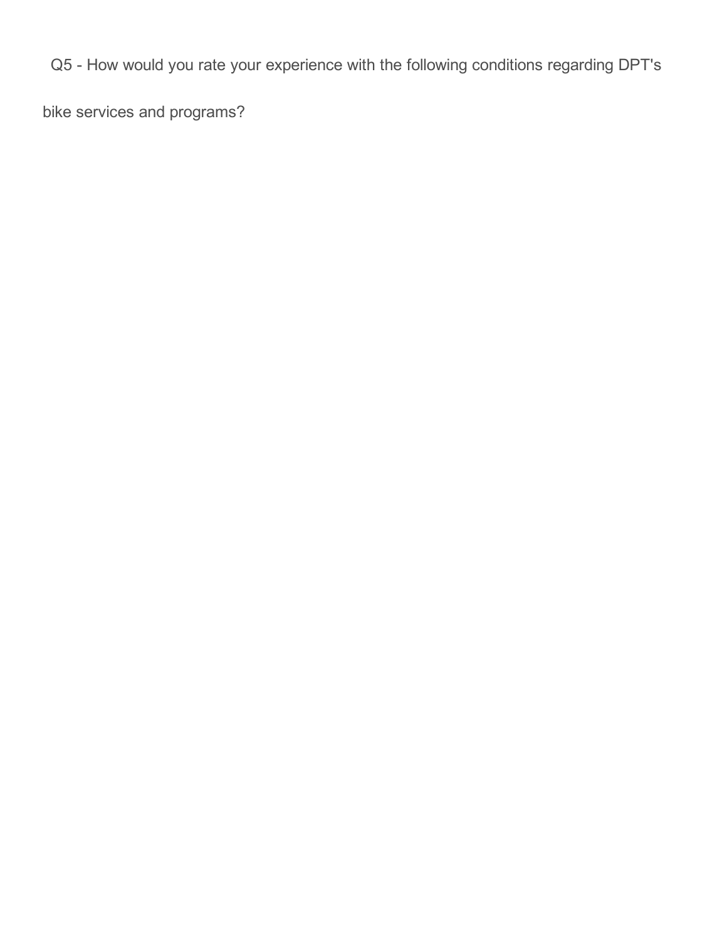Q5 - How would you rate your experience with the following conditions regarding DPT's

bike services and programs?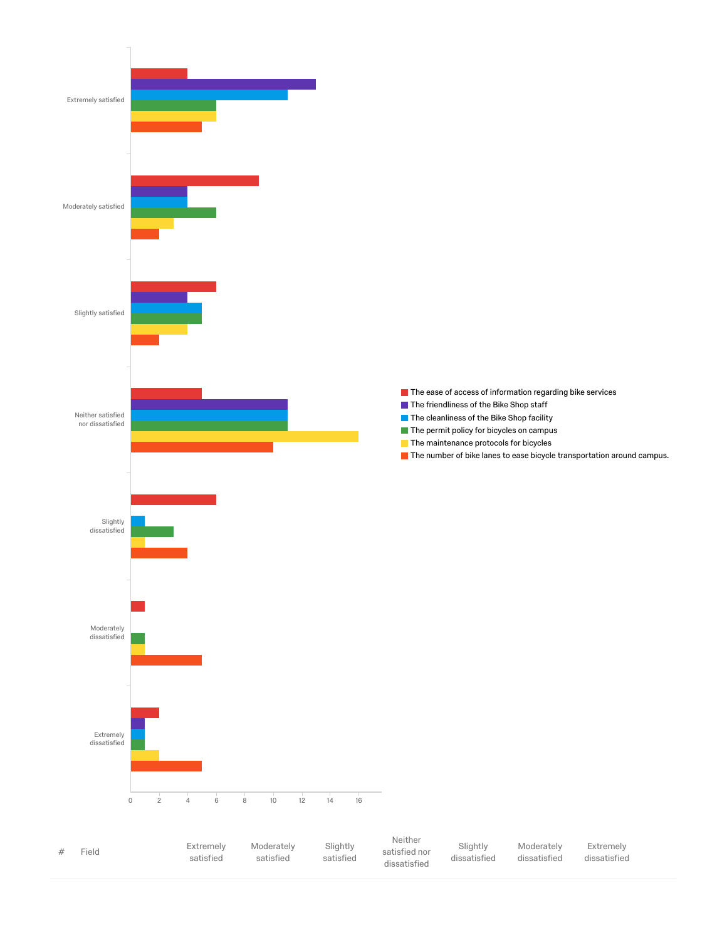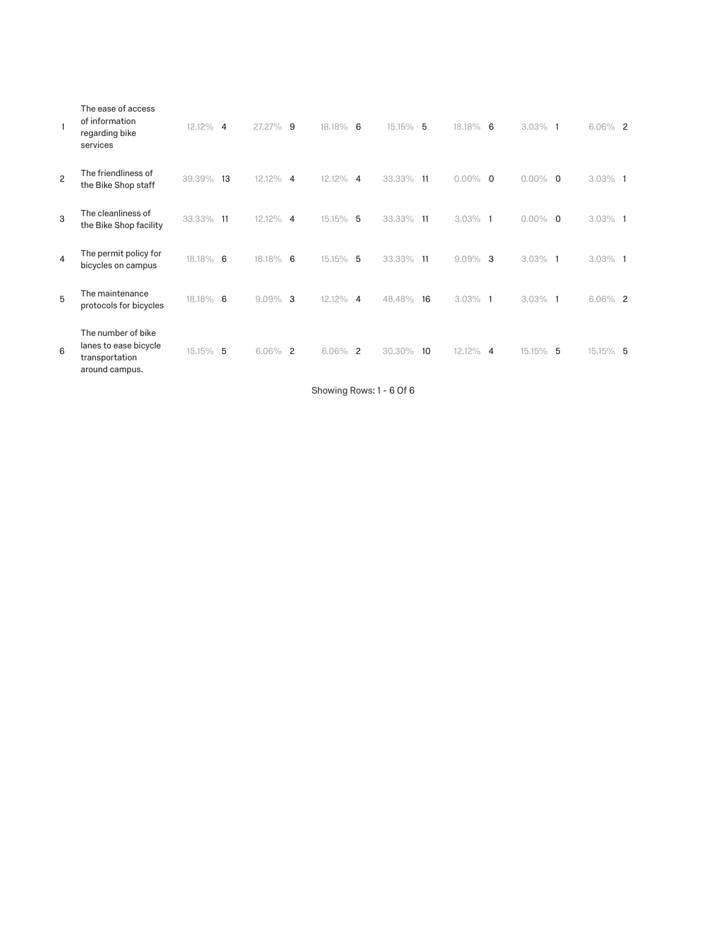| 1              | The ease of access<br>of information<br>regarding bike<br>services              | 12.12% | $\overline{4}$ | 27.27% 9 |                | 18.18% | 6              | 15.15% | 5     | 18.18% 6   |                | $3.03\%$ 1 |          | $6.06\%$ 2 |  |
|----------------|---------------------------------------------------------------------------------|--------|----------------|----------|----------------|--------|----------------|--------|-------|------------|----------------|------------|----------|------------|--|
| $\overline{c}$ | The friendliness of<br>the Bike Shop staff                                      | 39.39% | 13             | 12.12%   | $\overline{4}$ | 12.12% | $\overline{4}$ | 33.33% | $-11$ | $0.00\%$ 0 |                | $0.00\%$ 0 |          | $3.03\%$ 1 |  |
| 3              | The cleanliness of<br>the Bike Shop facility                                    | 33.33% | 11             | 12.12%   | $\overline{4}$ | 15.15% | 5              | 33.33% | 11    | 3.03%      | 1              | $0.00\%$   | $\Omega$ | $3.03\%$ 1 |  |
| 4              | The permit policy for<br>bicycles on campus                                     | 18.18% | - 6            | 18.18%   | 6              | 15.15% | 5              | 33.33% | 11    | $9.09\%$   | 3              | $3.03\%$ 1 |          | $3.03\%$ 1 |  |
| 5              | The maintenance<br>protocols for bicycles                                       | 18.18% | 6              | 9.09%    | 3              | 12.12% | $\overline{4}$ | 48.48% | 16    | $3.03\%$ 1 |                | $3.03\%$ 1 |          | $6.06\%$ 2 |  |
| 6              | The number of bike<br>lanes to ease bicycle<br>transportation<br>around campus. | 15.15% | 5              | 6.06%    | $\overline{c}$ | 6.06%  | $\overline{c}$ | 30.30% | 10    | 12.12%     | $\overline{4}$ | 15.15%     | -5       | 15.15% 5   |  |

Showing Rows: 1 - 6 Of 6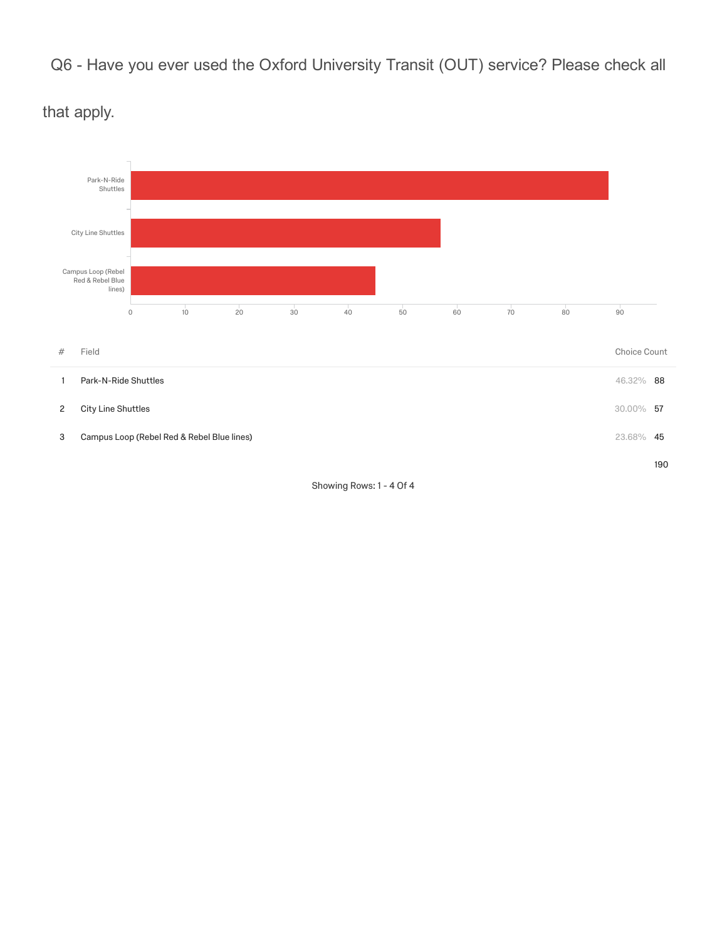Q6 - Have you ever used the Oxford University Transit (OUT) service? Please check all



that apply.

Showing Rows: 1 - 4 Of 4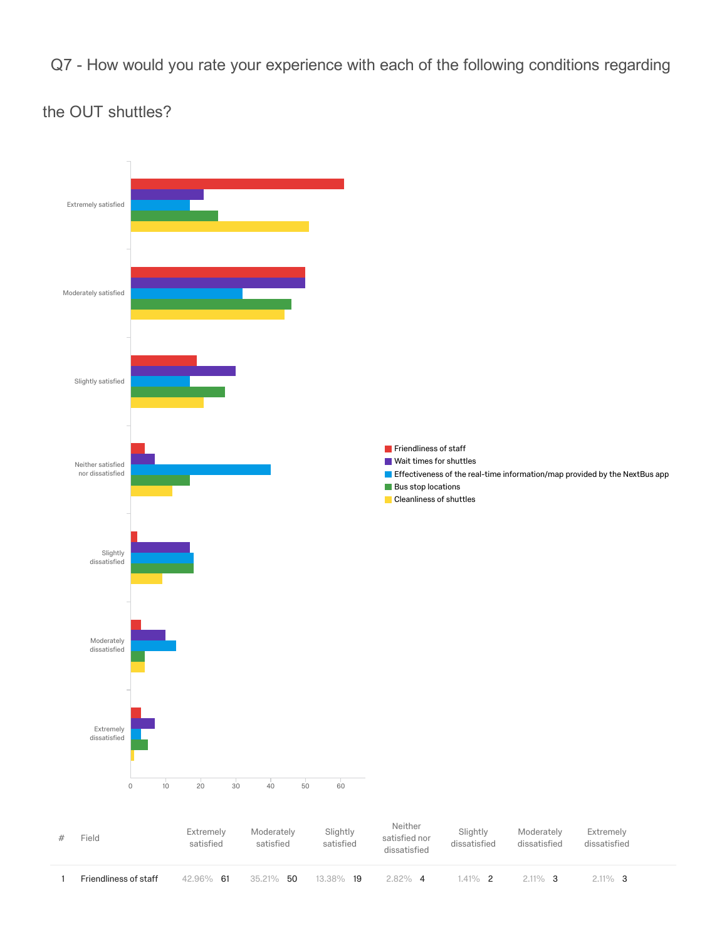Q7 - How would you rate your experience with each of the following conditions regarding

# the OUT shuttles?

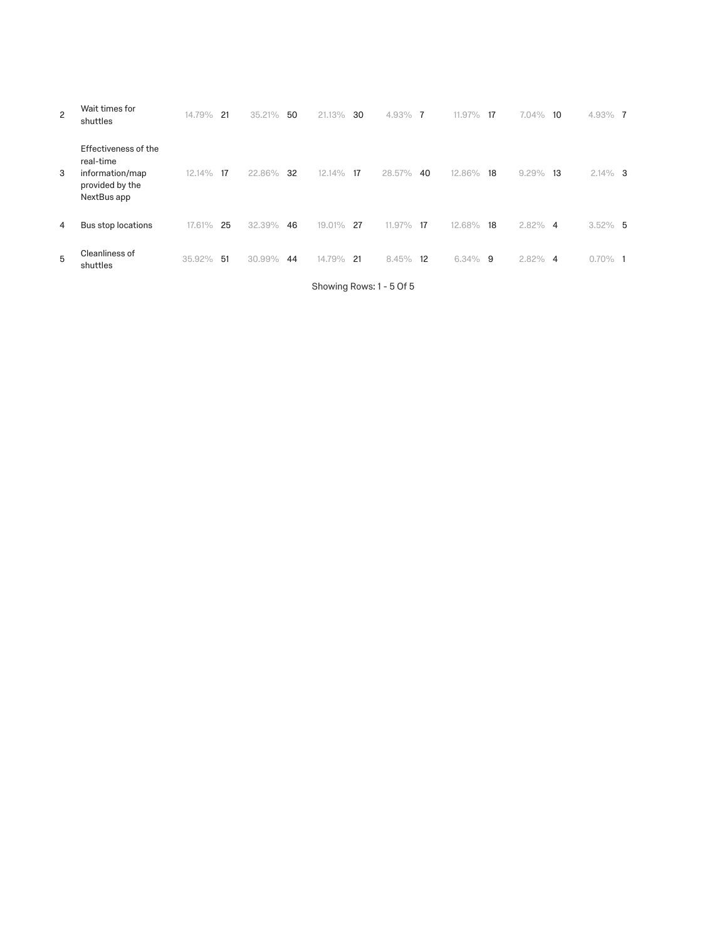| $\overline{c}$ | Wait times for<br>shuttles                                                             | 14.79% | 21 | 35.21% | 50 | 21.13% | 30 | 4.93%  | -7 | $7\%$<br>11.9 | 17 | 7.04%      | 10             | $4.93\%$ 7 |  |
|----------------|----------------------------------------------------------------------------------------|--------|----|--------|----|--------|----|--------|----|---------------|----|------------|----------------|------------|--|
| 3              | Effectiveness of the<br>real-time<br>information/map<br>provided by the<br>NextBus app | 12.14% | 17 | 22.86% | 32 | 12.14% | 17 | 28.57% | 40 | 12.86%        | 18 | 9.29%      | 13             | $2.14\%$ 3 |  |
| 4              | Bus stop locations                                                                     | 17.61% | 25 | 32.39% | 46 | 19.01% | 27 | 11.97% | 17 | 12.68%        | 18 | $2.82\%$ 4 |                | $3.52\%$ 5 |  |
| 5              | Cleanliness of<br>shuttles                                                             | 35.92% | 51 | 30.99% | 44 | 14.79% | 21 | 8.45%  | 12 | $6.34\%$      | -9 | $2.82\%$   | $\overline{4}$ | $0.70\%$ 1 |  |

Showing Rows: 1 - 5 Of 5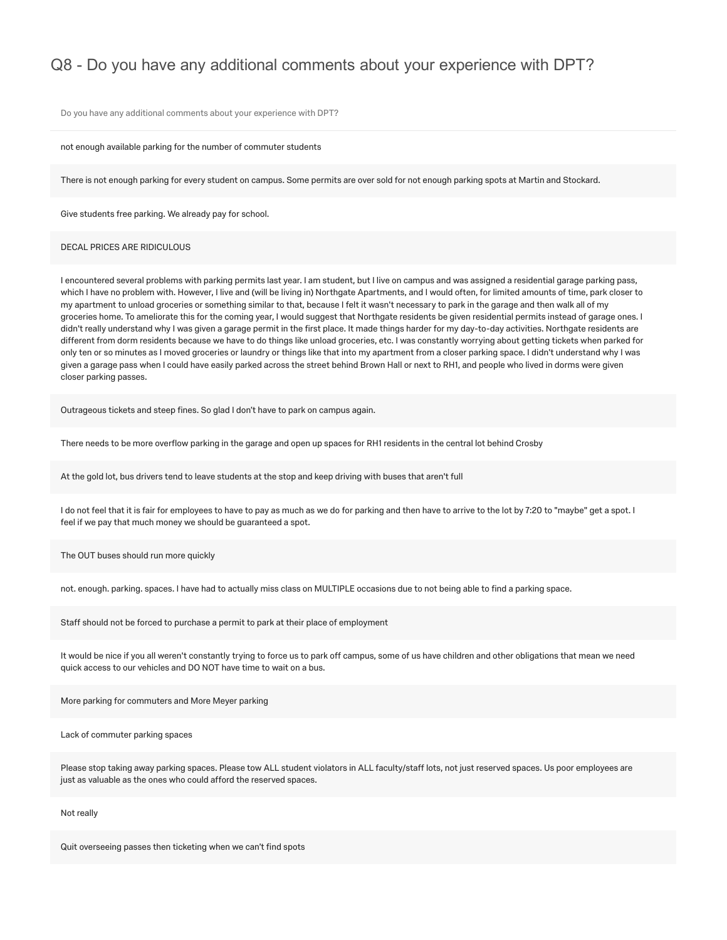## Q8 - Do you have any additional comments about your experience with DPT?

Do you have any additional comments about your experience with DPT?

not enough available parking for the number of commuter students

There is not enough parking for every student on campus. Some permits are over sold for not enough parking spots at Martin and Stockard.

Give students free parking. We already pay for school.

#### DECAL PRICES ARE RIDICULOUS

I encountered several problems with parking permits last year. I am student, but I live on campus and was assigned a residential garage parking pass, which I have no problem with. However, I live and (will be living in) Northgate Apartments, and I would often, for limited amounts of time, park closer to my apartment to unload groceries or something similar to that, because I felt it wasn't necessary to park in the garage and then walk all of my groceries home. To ameliorate this for the coming year, I would suggest that Northgate residents be given residential permits instead of garage ones. I didn't really understand why I was given a garage permit in the first place. It made things harder for my day-to-day activities. Northgate residents are different from dorm residents because we have to do things like unload groceries, etc. I was constantly worrying about getting tickets when parked for only ten or so minutes as I moved groceries or laundry or things like that into my apartment from a closer parking space. I didn't understand why I was given a garage pass when I could have easily parked across the street behind Brown Hall or next to RH1, and people who lived in dorms were given closer parking passes.

Outrageous tickets and steep fines. So glad I don't have to park on campus again.

There needs to be more overflow parking in the garage and open up spaces for RH1 residents in the central lot behind Crosby

At the gold lot, bus drivers tend to leave students at the stop and keep driving with buses that aren't full

I do not feel that it is fair for employees to have to pay as much as we do for parking and then have to arrive to the lot by 7:20 to "maybe" get a spot. I feel if we pay that much money we should be guaranteed a spot.

The OUT buses should run more quickly

not. enough. parking. spaces. I have had to actually miss class on MULTIPLE occasions due to not being able to find a parking space.

Staff should not be forced to purchase a permit to park at their place of employment

It would be nice if you all weren't constantly trying to force us to park off campus, some of us have children and other obligations that mean we need quick access to our vehicles and DO NOT have time to wait on a bus.

More parking for commuters and More Meyer parking

Lack of commuter parking spaces

Please stop taking away parking spaces. Please tow ALL student violators in ALL faculty/staff lots, not just reserved spaces. Us poor employees are just as valuable as the ones who could afford the reserved spaces.

Not really

Quit overseeing passes then ticketing when we can't find spots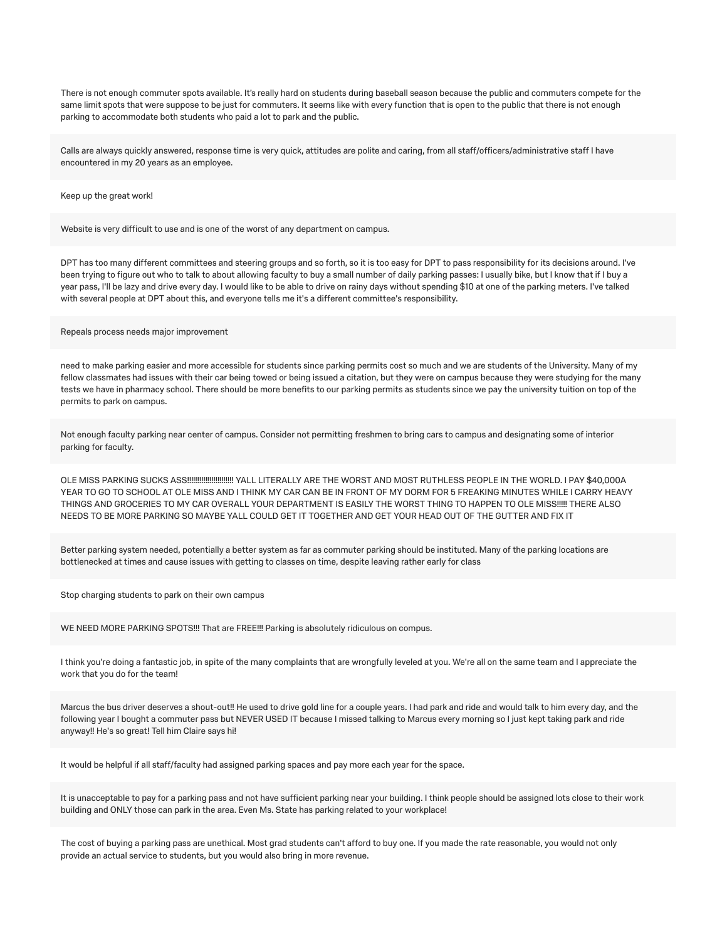There is not enough commuter spots available. It's really hard on students during baseball season because the public and commuters compete for the same limit spots that were suppose to be just for commuters. It seems like with every function that is open to the public that there is not enough parking to accommodate both students who paid a lot to park and the public.

Calls are always quickly answered, response time is very quick, attitudes are polite and caring, from all staff/officers/administrative staff I have encountered in my 20 years as an employee.

#### Keep up the great work!

Website is very difficult to use and is one of the worst of any department on campus.

DPT has too many different committees and steering groups and so forth, so it is too easy for DPT to pass responsibility for its decisions around. I've been trying to figure out who to talk to about allowing faculty to buy a small number of daily parking passes: I usually bike, but I know that if I buy a year pass, I'll be lazy and drive every day. I would like to be able to drive on rainy days without spending \$10 at one of the parking meters. I've talked with several people at DPT about this, and everyone tells me it's a different committee's responsibility.

Repeals process needs major improvement

need to make parking easier and more accessible for students since parking permits cost so much and we are students of the University. Many of my fellow classmates had issues with their car being towed or being issued a citation, but they were on campus because they were studying for the many tests we have in pharmacy school. There should be more benefits to our parking permits as students since we pay the university tuition on top of the permits to park on campus.

Not enough faculty parking near center of campus. Consider not permitting freshmen to bring cars to campus and designating some of interior parking for faculty.

OLE MISS PARKING SUCKS ASS!!!!!!!!!!!!!!!!!!!!!!! YALL LITERALLY ARE THE WORST AND MOST RUTHLESS PEOPLE IN THE WORLD. I PAY \$40,000A YEAR TO GO TO SCHOOL AT OLE MISS AND I THINK MY CAR CAN BE IN FRONT OF MY DORM FOR 5 FREAKING MINUTES WHILE I CARRY HEAVY THINGS AND GROCERIES TO MY CAR OVERALL YOUR DEPARTMENT IS EASILY THE WORST THING TO HAPPEN TO OLE MISS!!!!! THERE ALSO NEEDS TO BE MORE PARKING SO MAYBE YALL COULD GET IT TOGETHER AND GET YOUR HEAD OUT OF THE GUTTER AND FIX IT

Better parking system needed, potentially a better system as far as commuter parking should be instituted. Many of the parking locations are bottlenecked at times and cause issues with getting to classes on time, despite leaving rather early for class

Stop charging students to park on their own campus

WE NEED MORE PARKING SPOTS!!! That are FREE!!! Parking is absolutely ridiculous on compus.

I think you're doing a fantastic job, in spite of the many complaints that are wrongfully leveled at you. We're all on the same team and I appreciate the work that you do for the team!

Marcus the bus driver deserves a shout-out!! He used to drive gold line for a couple years. I had park and ride and would talk to him every day, and the following year I bought a commuter pass but NEVER USED IT because I missed talking to Marcus every morning so I just kept taking park and ride anyway!! He's so great! Tell him Claire says hi!

It would be helpful if all staff/faculty had assigned parking spaces and pay more each year for the space.

It is unacceptable to pay for a parking pass and not have sufficient parking near your building. I think people should be assigned lots close to their work building and ONLY those can park in the area. Even Ms. State has parking related to your workplace!

The cost of buying a parking pass are unethical. Most grad students can't afford to buy one. If you made the rate reasonable, you would not only provide an actual service to students, but you would also bring in more revenue.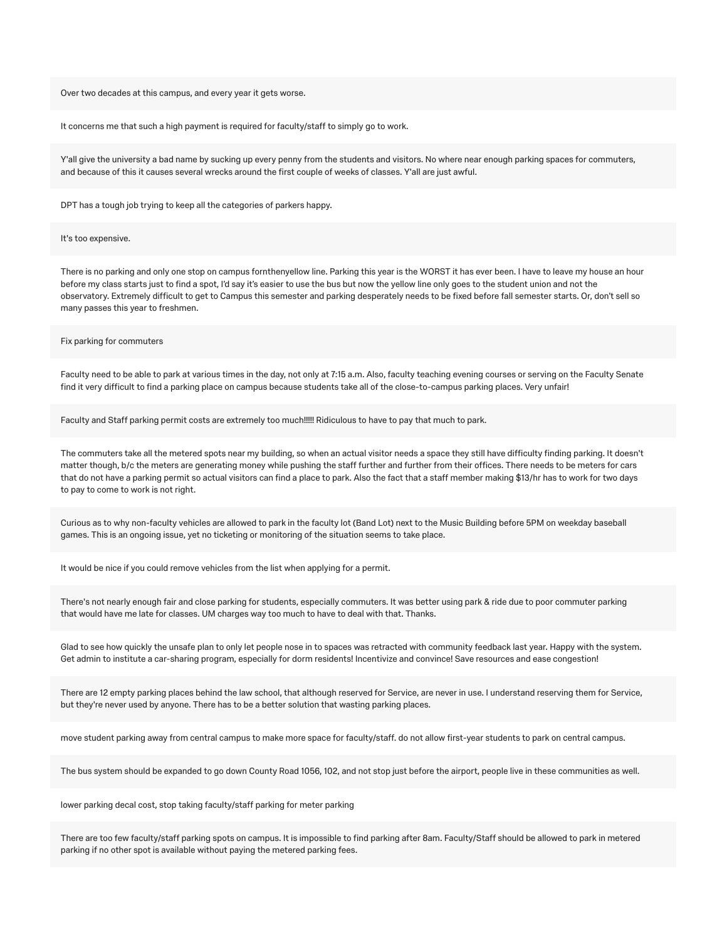Over two decades at this campus, and every year it gets worse.

It concerns me that such a high payment is required for faculty/staff to simply go to work.

Y'all give the university a bad name by sucking up every penny from the students and visitors. No where near enough parking spaces for commuters, and because of this it causes several wrecks around the first couple of weeks of classes. Y'all are just awful.

DPT has a tough job trying to keep all the categories of parkers happy.

#### It's too expensive.

There is no parking and only one stop on campus fornthenyellow line. Parking this year is the WORST it has ever been. I have to leave my house an hour before my class starts just to find a spot, I'd say it's easier to use the bus but now the yellow line only goes to the student union and not the observatory. Extremely difficult to get to Campus this semester and parking desperately needs to be fixed before fall semester starts. Or, don't sell so many passes this year to freshmen.

#### Fix parking for commuters

Faculty need to be able to park at various times in the day, not only at 7:15 a.m. Also, faculty teaching evening courses or serving on the Faculty Senate find it very difficult to find a parking place on campus because students take all of the close-to-campus parking places. Very unfair!

Faculty and Staff parking permit costs are extremely too much!!!!! Ridiculous to have to pay that much to park.

The commuters take all the metered spots near my building, so when an actual visitor needs a space they still have difficulty finding parking. It doesn't matter though, b/c the meters are generating money while pushing the staff further and further from their offices. There needs to be meters for cars that do not have a parking permit so actual visitors can find a place to park. Also the fact that a staff member making \$13/hr has to work for two days to pay to come to work is not right.

Curious as to why non-faculty vehicles are allowed to park in the faculty lot (Band Lot) next to the Music Building before 5PM on weekday baseball games. This is an ongoing issue, yet no ticketing or monitoring of the situation seems to take place.

It would be nice if you could remove vehicles from the list when applying for a permit.

There's not nearly enough fair and close parking for students, especially commuters. It was better using park & ride due to poor commuter parking that would have me late for classes. UM charges way too much to have to deal with that. Thanks.

Glad to see how quickly the unsafe plan to only let people nose in to spaces was retracted with community feedback last year. Happy with the system. Get admin to institute a car-sharing program, especially for dorm residents! Incentivize and convince! Save resources and ease congestion!

There are 12 empty parking places behind the law school, that although reserved for Service, are never in use. I understand reserving them for Service, but they're never used by anyone. There has to be a better solution that wasting parking places.

move student parking away from central campus to make more space for faculty/staff. do not allow first-year students to park on central campus.

The bus system should be expanded to go down County Road 1056, 102, and not stop just before the airport, people live in these communities as well.

lower parking decal cost, stop taking faculty/staff parking for meter parking

There are too few faculty/staff parking spots on campus. It is impossible to find parking after 8am. Faculty/Staff should be allowed to park in metered parking if no other spot is available without paying the metered parking fees.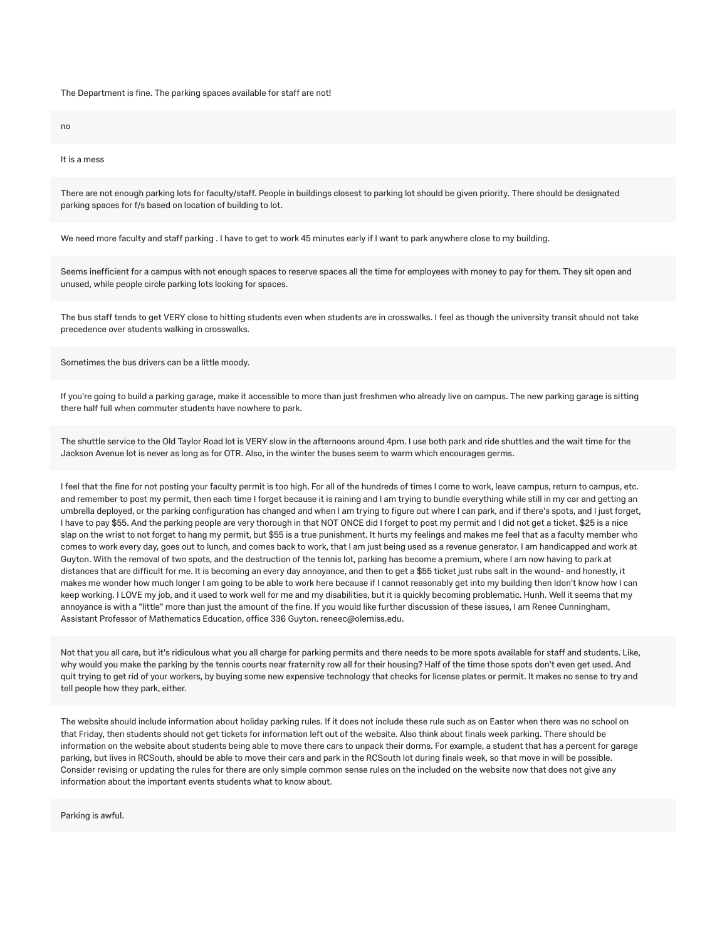#### The Department is fine. The parking spaces available for staff are not!

no

#### It is a mess

There are not enough parking lots for faculty/staff. People in buildings closest to parking lot should be given priority. There should be designated parking spaces for f/s based on location of building to lot.

We need more faculty and staff parking . I have to get to work 45 minutes early if I want to park anywhere close to my building.

Seems inefficient for a campus with not enough spaces to reserve spaces all the time for employees with money to pay for them. They sit open and unused, while people circle parking lots looking for spaces.

The bus staff tends to get VERY close to hitting students even when students are in crosswalks. I feel as though the university transit should not take precedence over students walking in crosswalks.

Sometimes the bus drivers can be a little moody.

If you're going to build a parking garage, make it accessible to more than just freshmen who already live on campus. The new parking garage is sitting there half full when commuter students have nowhere to park.

The shuttle service to the Old Taylor Road lot is VERY slow in the afternoons around 4pm. I use both park and ride shuttles and the wait time for the Jackson Avenue lot is never as long as for OTR. Also, in the winter the buses seem to warm which encourages germs.

I feel that the fine for not posting your faculty permit is too high. For all of the hundreds of times I come to work, leave campus, return to campus, etc. and remember to post my permit, then each time I forget because it is raining and I am trying to bundle everything while still in my car and getting an umbrella deployed, or the parking configuration has changed and when I am trying to figure out where I can park, and if there's spots, and I just forget, I have to pay \$55. And the parking people are very thorough in that NOT ONCE did I forget to post my permit and I did not get a ticket. \$25 is a nice slap on the wrist to not forget to hang my permit, but \$55 is a true punishment. It hurts my feelings and makes me feel that as a faculty member who comes to work every day, goes out to lunch, and comes back to work, that I am just being used as a revenue generator. I am handicapped and work at Guyton. With the removal of two spots, and the destruction of the tennis lot, parking has become a premium, where I am now having to park at distances that are difficult for me. It is becoming an every day annoyance, and then to get a \$55 ticket just rubs salt in the wound- and honestly, it makes me wonder how much longer I am going to be able to work here because if I cannot reasonably get into my building then Idon't know how I can keep working. I LOVE my job, and it used to work well for me and my disabilities, but it is quickly becoming problematic. Hunh. Well it seems that my annoyance is with a "little" more than just the amount of the fine. If you would like further discussion of these issues, I am Renee Cunningham, Assistant Professor of Mathematics Education, office 336 Guyton. reneec@olemiss.edu.

Not that you all care, but it's ridiculous what you all charge for parking permits and there needs to be more spots available for staff and students. Like, why would you make the parking by the tennis courts near fraternity row all for their housing? Half of the time those spots don't even get used. And quit trying to get rid of your workers, by buying some new expensive technology that checks for license plates or permit. It makes no sense to try and tell people how they park, either.

The website should include information about holiday parking rules. If it does not include these rule such as on Easter when there was no school on that Friday, then students should not get tickets for information left out of the website. Also think about finals week parking. There should be information on the website about students being able to move there cars to unpack their dorms. For example, a student that has a percent for garage parking, but lives in RCSouth, should be able to move their cars and park in the RCSouth lot during finals week, so that move in will be possible. Consider revising or updating the rules for there are only simple common sense rules on the included on the website now that does not give any information about the important events students what to know about.

Parking is awful.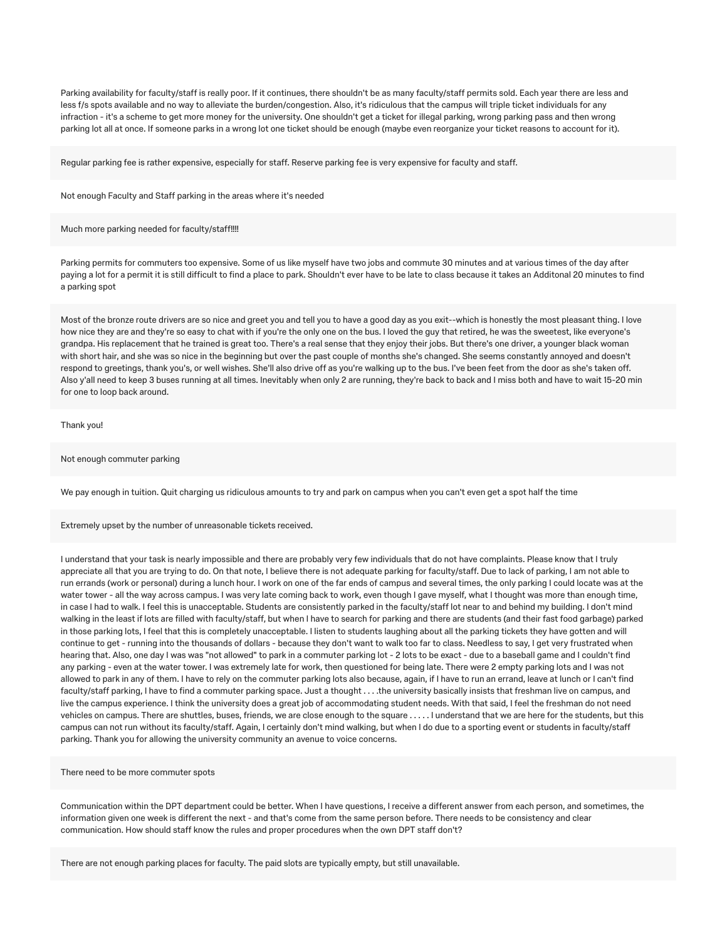Parking availability for faculty/staff is really poor. If it continues, there shouldn't be as many faculty/staff permits sold. Each year there are less and less f/s spots available and no way to alleviate the burden/congestion. Also, it's ridiculous that the campus will triple ticket individuals for any infraction - it's a scheme to get more money for the university. One shouldn't get a ticket for illegal parking, wrong parking pass and then wrong parking lot all at once. If someone parks in a wrong lot one ticket should be enough (maybe even reorganize your ticket reasons to account for it).

Regular parking fee is rather expensive, especially for staff. Reserve parking fee is very expensive for faculty and staff.

Not enough Faculty and Staff parking in the areas where it's needed

#### Much more parking needed for faculty/staff!!!!

Parking permits for commuters too expensive. Some of us like myself have two jobs and commute 30 minutes and at various times of the day after paying a lot for a permit it is still difficult to find a place to park. Shouldn't ever have to be late to class because it takes an Additonal 20 minutes to find a parking spot

Most of the bronze route drivers are so nice and greet you and tell you to have a good day as you exit--which is honestly the most pleasant thing. I love how nice they are and they're so easy to chat with if you're the only one on the bus. I loved the guy that retired, he was the sweetest, like everyone's grandpa. His replacement that he trained is great too. There's a real sense that they enjoy their jobs. But there's one driver, a younger black woman with short hair, and she was so nice in the beginning but over the past couple of months she's changed. She seems constantly annoyed and doesn't respond to greetings, thank you's, or well wishes. She'll also drive off as you're walking up to the bus. I've been feet from the door as she's taken off. Also y'all need to keep 3 buses running at all times. Inevitably when only 2 are running, they're back to back and I miss both and have to wait 15-20 min for one to loop back around.

Thank you!

Not enough commuter parking

We pay enough in tuition. Quit charging us ridiculous amounts to try and park on campus when you can't even get a spot half the time

Extremely upset by the number of unreasonable tickets received.

I understand that your task is nearly impossible and there are probably very few individuals that do not have complaints. Please know that I truly appreciate all that you are trying to do. On that note, I believe there is not adequate parking for faculty/staff. Due to lack of parking, I am not able to run errands (work or personal) during a lunch hour. I work on one of the far ends of campus and several times, the only parking I could locate was at the water tower - all the way across campus. I was very late coming back to work, even though I gave myself, what I thought was more than enough time, in case I had to walk. I feel this is unacceptable. Students are consistently parked in the faculty/staff lot near to and behind my building. I don't mind walking in the least if lots are filled with faculty/staff, but when I have to search for parking and there are students (and their fast food garbage) parked in those parking lots, I feel that this is completely unacceptable. I listen to students laughing about all the parking tickets they have gotten and will continue to get - running into the thousands of dollars - because they don't want to walk too far to class. Needless to say, I get very frustrated when hearing that. Also, one day I was was "not allowed" to park in a commuter parking lot - 2 lots to be exact - due to a baseball game and I couldn't find any parking - even at the water tower. I was extremely late for work, then questioned for being late. There were 2 empty parking lots and I was not allowed to park in any of them. I have to rely on the commuter parking lots also because, again, if I have to run an errand, leave at lunch or I can't find faculty/staff parking, I have to find a commuter parking space. Just a thought . . . .the university basically insists that freshman live on campus, and live the campus experience. I think the university does a great job of accommodating student needs. With that said, I feel the freshman do not need vehicles on campus. There are shuttles, buses, friends, we are close enough to the square . . . . . I understand that we are here for the students, but this campus can not run without its faculty/staff. Again, I certainly don't mind walking, but when I do due to a sporting event or students in faculty/staff parking. Thank you for allowing the university community an avenue to voice concerns.

There need to be more commuter spots

Communication within the DPT department could be better. When I have questions, I receive a different answer from each person, and sometimes, the information given one week is different the next - and that's come from the same person before. There needs to be consistency and clear communication. How should staff know the rules and proper procedures when the own DPT staff don't?

There are not enough parking places for faculty. The paid slots are typically empty, but still unavailable.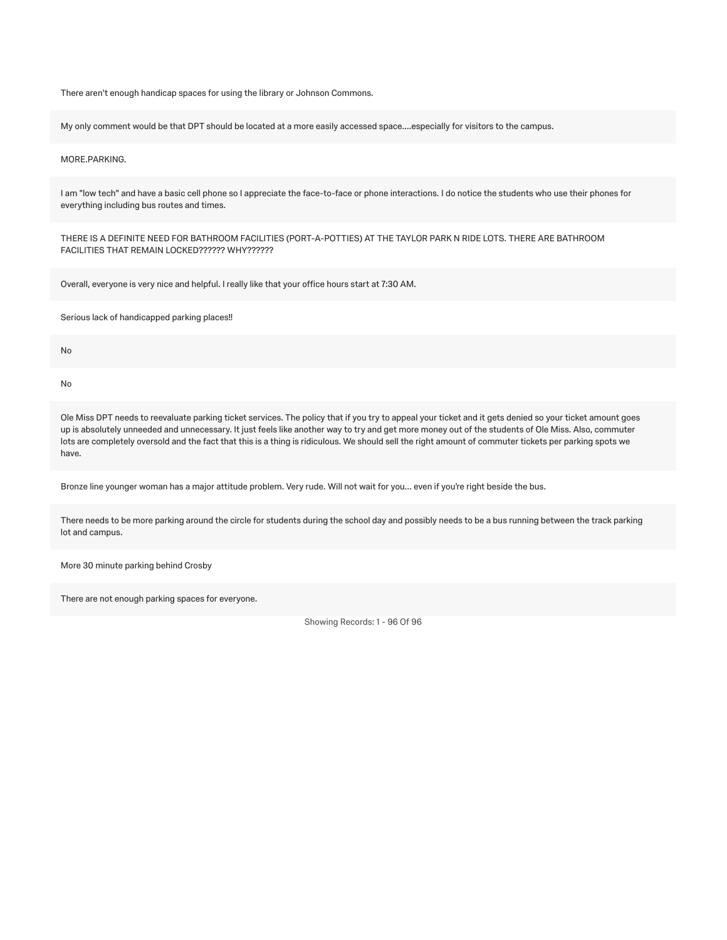There aren't enough handicap spaces for using the library or Johnson Commons.

My only comment would be that DPT should be located at a more easily accessed space....especially for visitors to the campus.

#### MORE.PARKING.

I am "low tech" and have a basic cell phone so I appreciate the face-to-face or phone interactions. I do notice the students who use their phones for everything including bus routes and times.

THERE IS A DEFINITE NEED FOR BATHROOM FACILITIES (PORT-A-POTTIES) AT THE TAYLOR PARK N RIDE LOTS. THERE ARE BATHROOM FACILITIES THAT REMAIN LOCKED?????? WHY??????

Overall, everyone is very nice and helpful. I really like that your office hours start at 7:30 AM.

Serious lack of handicapped parking places!!

No

No

Ole Miss DPT needs to reevaluate parking ticket services. The policy that if you try to appeal your ticket and it gets denied so your ticket amount goes up is absolutely unneeded and unnecessary. It just feels like another way to try and get more money out of the students of Ole Miss. Also, commuter lots are completely oversold and the fact that this is a thing is ridiculous. We should sell the right amount of commuter tickets per parking spots we have.

Bronze line younger woman has a major attitude problem. Very rude. Will not wait for you... even if you're right beside the bus.

There needs to be more parking around the circle for students during the school day and possibly needs to be a bus running between the track parking lot and campus.

More 30 minute parking behind Crosby

There are not enough parking spaces for everyone.

Showing Records: 1 - 96 Of 96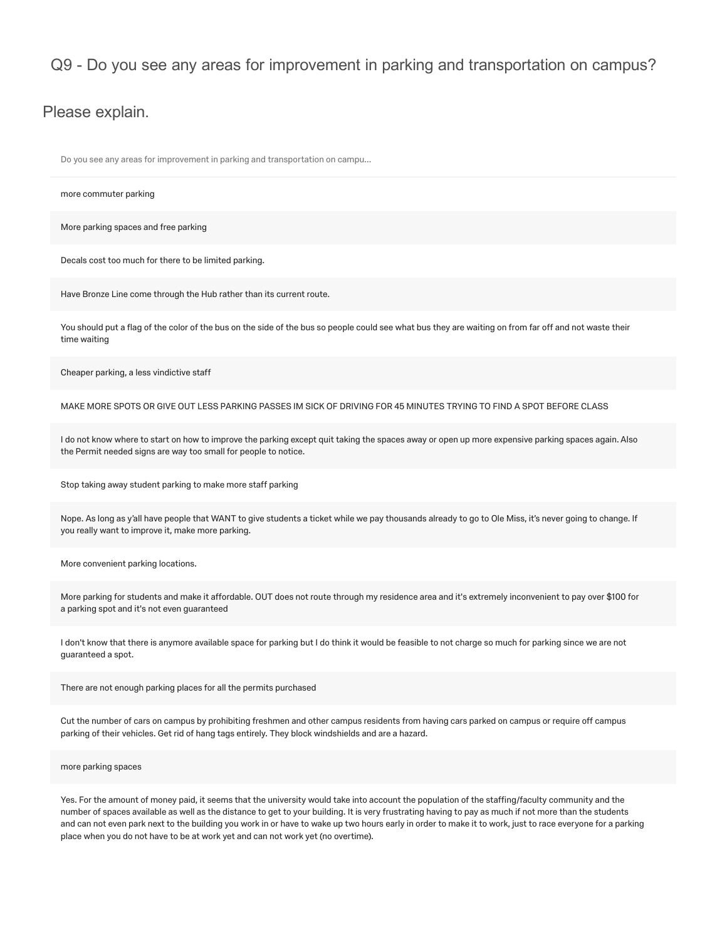## Q9 - Do you see any areas for improvement in parking and transportation on campus?

## Please explain.

Do you see any areas for improvement in parking and transportation on campu...

# more commuter parking More parking spaces and free parking Decals cost too much for there to be limited parking. Have Bronze Line come through the Hub rather than its current route. You should put a flag of the color of the bus on the side of the bus so people could see what bus they are waiting on from far off and not waste their time waiting Cheaper parking, a less vindictive staff MAKE MORE SPOTS OR GIVE OUT LESS PARKING PASSES IM SICK OF DRIVING FOR 45 MINUTES TRYING TO FIND A SPOT BEFORE CLASS I do not know where to start on how to improve the parking except quit taking the spaces away or open up more expensive parking spaces again. Also the Permit needed signs are way too small for people to notice. Stop taking away student parking to make more staff parking Nope. As long as y'all have people that WANT to give students a ticket while we pay thousands already to go to Ole Miss, it's never going to change. If you really want to improve it, make more parking. More convenient parking locations. More parking for students and make it affordable. OUT does not route through my residence area and it's extremely inconvenient to pay over \$100 for a parking spot and it's not even guaranteed I don't know that there is anymore available space for parking but I do think it would be feasible to not charge so much for parking since we are not guaranteed a spot. There are not enough parking places for all the permits purchased Cut the number of cars on campus by prohibiting freshmen and other campus residents from having cars parked on campus or require off campus parking of their vehicles. Get rid of hang tags entirely. They block windshields and are a hazard. more parking spaces Yes. For the amount of money paid, it seems that the university would take into account the population of the staffing/faculty community and the

number of spaces available as well as the distance to get to your building. It is very frustrating having to pay as much if not more than the students and can not even park next to the building you work in or have to wake up two hours early in order to make it to work, just to race everyone for a parking place when you do not have to be at work yet and can not work yet (no overtime).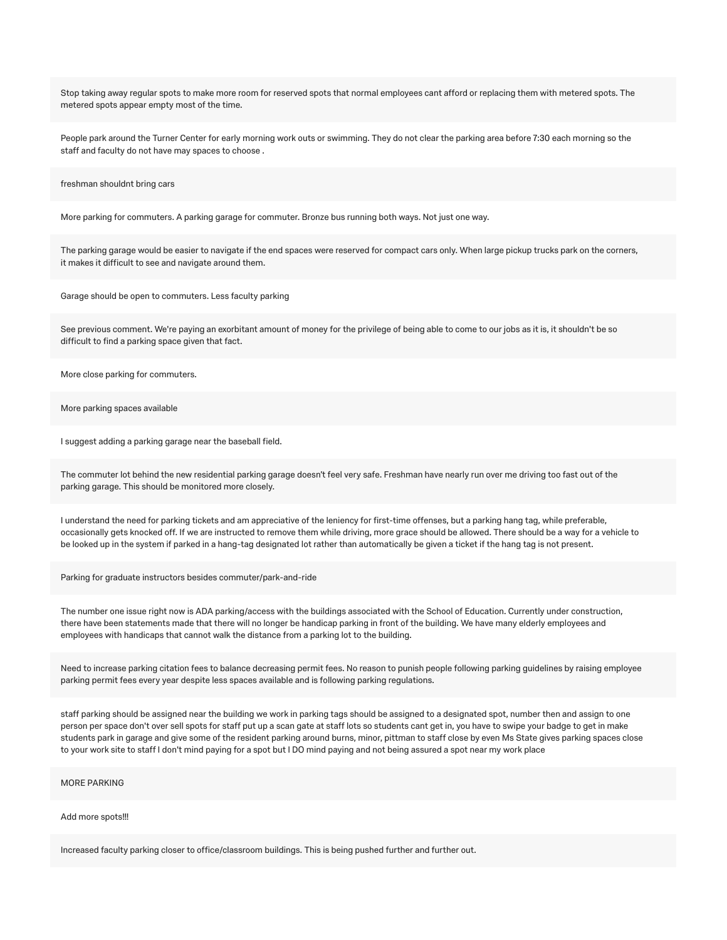Stop taking away regular spots to make more room for reserved spots that normal employees cant afford or replacing them with metered spots. The metered spots appear empty most of the time.

People park around the Turner Center for early morning work outs or swimming. They do not clear the parking area before 7:30 each morning so the staff and faculty do not have may spaces to choose .

freshman shouldnt bring cars

More parking for commuters. A parking garage for commuter. Bronze bus running both ways. Not just one way.

The parking garage would be easier to navigate if the end spaces were reserved for compact cars only. When large pickup trucks park on the corners, it makes it difficult to see and navigate around them.

Garage should be open to commuters. Less faculty parking

See previous comment. We're paying an exorbitant amount of money for the privilege of being able to come to our jobs as it is, it shouldn't be so difficult to find a parking space given that fact.

More close parking for commuters.

More parking spaces available

I suggest adding a parking garage near the baseball field.

The commuter lot behind the new residential parking garage doesn't feel very safe. Freshman have nearly run over me driving too fast out of the parking garage. This should be monitored more closely.

I understand the need for parking tickets and am appreciative of the leniency for first-time offenses, but a parking hang tag, while preferable, occasionally gets knocked off. If we are instructed to remove them while driving, more grace should be allowed. There should be a way for a vehicle to be looked up in the system if parked in a hang-tag designated lot rather than automatically be given a ticket if the hang tag is not present.

Parking for graduate instructors besides commuter/park-and-ride

The number one issue right now is ADA parking/access with the buildings associated with the School of Education. Currently under construction, there have been statements made that there will no longer be handicap parking in front of the building. We have many elderly employees and employees with handicaps that cannot walk the distance from a parking lot to the building.

Need to increase parking citation fees to balance decreasing permit fees. No reason to punish people following parking guidelines by raising employee parking permit fees every year despite less spaces available and is following parking regulations.

staff parking should be assigned near the building we work in parking tags should be assigned to a designated spot, number then and assign to one person per space don't over sell spots for staff put up a scan gate at staff lots so students cant get in, you have to swipe your badge to get in make students park in garage and give some of the resident parking around burns, minor, pittman to staff close by even Ms State gives parking spaces close to your work site to staff I don't mind paying for a spot but I DO mind paying and not being assured a spot near my work place

#### MORE PARKING

Add more spots!!!

Increased faculty parking closer to office/classroom buildings. This is being pushed further and further out.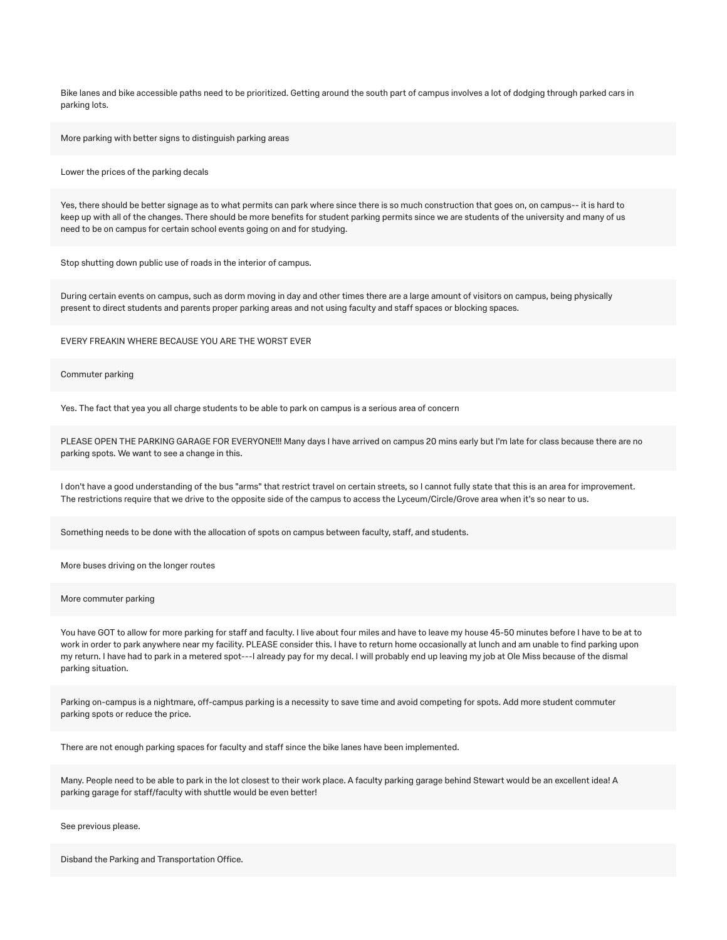Bike lanes and bike accessible paths need to be prioritized. Getting around the south part of campus involves a lot of dodging through parked cars in parking lots.

More parking with better signs to distinguish parking areas

Lower the prices of the parking decals

Yes, there should be better signage as to what permits can park where since there is so much construction that goes on, on campus-- it is hard to keep up with all of the changes. There should be more benefits for student parking permits since we are students of the university and many of us need to be on campus for certain school events going on and for studying.

Stop shutting down public use of roads in the interior of campus.

During certain events on campus, such as dorm moving in day and other times there are a large amount of visitors on campus, being physically present to direct students and parents proper parking areas and not using faculty and staff spaces or blocking spaces.

EVERY FREAKIN WHERE BECAUSE YOU ARE THE WORST EVER

Commuter parking

Yes. The fact that yea you all charge students to be able to park on campus is a serious area of concern

PLEASE OPEN THE PARKING GARAGE FOR EVERYONE!!! Many days I have arrived on campus 20 mins early but I'm late for class because there are no parking spots. We want to see a change in this.

I don't have a good understanding of the bus "arms" that restrict travel on certain streets, so I cannot fully state that this is an area for improvement. The restrictions require that we drive to the opposite side of the campus to access the Lyceum/Circle/Grove area when it's so near to us.

Something needs to be done with the allocation of spots on campus between faculty, staff, and students.

More buses driving on the longer routes

#### More commuter parking

You have GOT to allow for more parking for staff and faculty. I live about four miles and have to leave my house 45-50 minutes before I have to be at to work in order to park anywhere near my facility. PLEASE consider this. I have to return home occasionally at lunch and am unable to find parking upon my return. I have had to park in a metered spot---I already pay for my decal. I will probably end up leaving my job at Ole Miss because of the dismal parking situation.

Parking on-campus is a nightmare, off-campus parking is a necessity to save time and avoid competing for spots. Add more student commuter parking spots or reduce the price.

There are not enough parking spaces for faculty and staff since the bike lanes have been implemented.

Many. People need to be able to park in the lot closest to their work place. A faculty parking garage behind Stewart would be an excellent idea! A parking garage for staff/faculty with shuttle would be even better!

See previous please.

Disband the Parking and Transportation Office.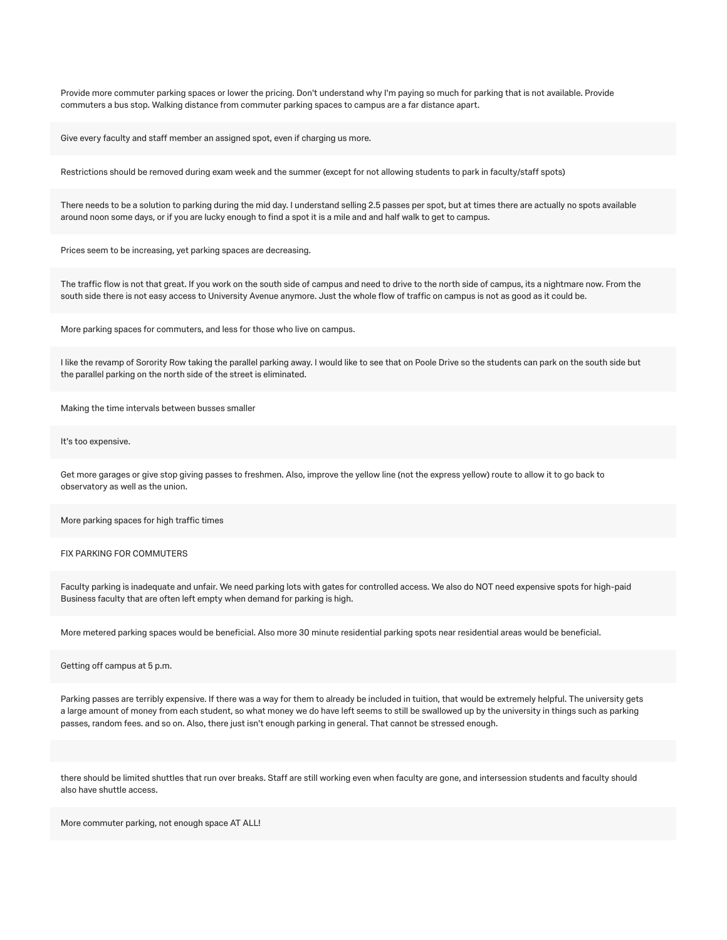Provide more commuter parking spaces or lower the pricing. Don't understand why I'm paying so much for parking that is not available. Provide commuters a bus stop. Walking distance from commuter parking spaces to campus are a far distance apart.

Give every faculty and staff member an assigned spot, even if charging us more.

Restrictions should be removed during exam week and the summer (except for not allowing students to park in faculty/staff spots)

There needs to be a solution to parking during the mid day. I understand selling 2.5 passes per spot, but at times there are actually no spots available around noon some days, or if you are lucky enough to find a spot it is a mile and and half walk to get to campus.

Prices seem to be increasing, yet parking spaces are decreasing.

The traffic flow is not that great. If you work on the south side of campus and need to drive to the north side of campus, its a nightmare now. From the south side there is not easy access to University Avenue anymore. Just the whole flow of traffic on campus is not as good as it could be.

More parking spaces for commuters, and less for those who live on campus.

I like the revamp of Sorority Row taking the parallel parking away. I would like to see that on Poole Drive so the students can park on the south side but the parallel parking on the north side of the street is eliminated.

Making the time intervals between busses smaller

It's too expensive.

Get more garages or give stop giving passes to freshmen. Also, improve the yellow line (not the express yellow) route to allow it to go back to observatory as well as the union.

More parking spaces for high traffic times

FIX PARKING FOR COMMUTERS

Faculty parking is inadequate and unfair. We need parking lots with gates for controlled access. We also do NOT need expensive spots for high-paid Business faculty that are often left empty when demand for parking is high.

More metered parking spaces would be beneficial. Also more 30 minute residential parking spots near residential areas would be beneficial.

Getting off campus at 5 p.m.

Parking passes are terribly expensive. If there was a way for them to already be included in tuition, that would be extremely helpful. The university gets a large amount of money from each student, so what money we do have left seems to still be swallowed up by the university in things such as parking passes, random fees. and so on. Also, there just isn't enough parking in general. That cannot be stressed enough.

there should be limited shuttles that run over breaks. Staff are still working even when faculty are gone, and intersession students and faculty should also have shuttle access.

More commuter parking, not enough space AT ALL!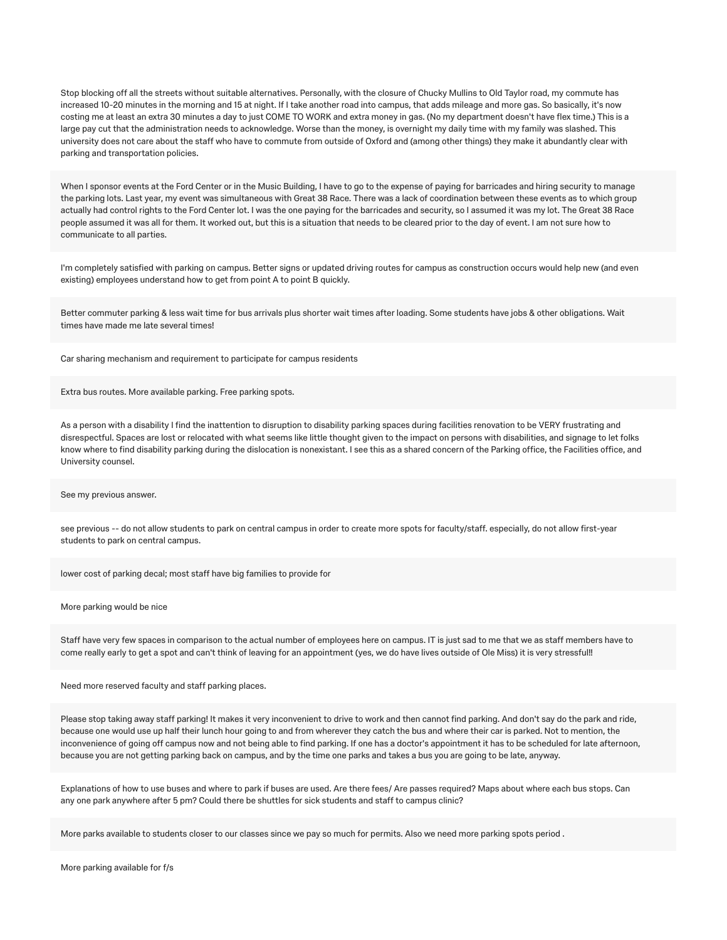Stop blocking off all the streets without suitable alternatives. Personally, with the closure of Chucky Mullins to Old Taylor road, my commute has increased 10-20 minutes in the morning and 15 at night. If I take another road into campus, that adds mileage and more gas. So basically, it's now costing me at least an extra 30 minutes a day to just COME TO WORK and extra money in gas. (No my department doesn't have flex time.) This is a large pay cut that the administration needs to acknowledge. Worse than the money, is overnight my daily time with my family was slashed. This university does not care about the staff who have to commute from outside of Oxford and (among other things) they make it abundantly clear with parking and transportation policies.

When I sponsor events at the Ford Center or in the Music Building, I have to go to the expense of paying for barricades and hiring security to manage the parking lots. Last year, my event was simultaneous with Great 38 Race. There was a lack of coordination between these events as to which group actually had control rights to the Ford Center lot. I was the one paying for the barricades and security, so I assumed it was my lot. The Great 38 Race people assumed it was all for them. It worked out, but this is a situation that needs to be cleared prior to the day of event. I am not sure how to communicate to all parties.

I'm completely satisfied with parking on campus. Better signs or updated driving routes for campus as construction occurs would help new (and even existing) employees understand how to get from point A to point B quickly.

Better commuter parking & less wait time for bus arrivals plus shorter wait times after loading. Some students have jobs & other obligations. Wait times have made me late several times!

Car sharing mechanism and requirement to participate for campus residents

Extra bus routes. More available parking. Free parking spots.

As a person with a disability I find the inattention to disruption to disability parking spaces during facilities renovation to be VERY frustrating and disrespectful. Spaces are lost or relocated with what seems like little thought given to the impact on persons with disabilities, and signage to let folks know where to find disability parking during the dislocation is nonexistant. I see this as a shared concern of the Parking office, the Facilities office, and University counsel.

See my previous answer.

see previous -- do not allow students to park on central campus in order to create more spots for faculty/staff. especially, do not allow first-year students to park on central campus.

lower cost of parking decal; most staff have big families to provide for

More parking would be nice

Staff have very few spaces in comparison to the actual number of employees here on campus. IT is just sad to me that we as staff members have to come really early to get a spot and can't think of leaving for an appointment (yes, we do have lives outside of Ole Miss) it is very stressful!!

Need more reserved faculty and staff parking places.

Please stop taking away staff parking! It makes it very inconvenient to drive to work and then cannot find parking. And don't say do the park and ride, because one would use up half their lunch hour going to and from wherever they catch the bus and where their car is parked. Not to mention, the inconvenience of going off campus now and not being able to find parking. If one has a doctor's appointment it has to be scheduled for late afternoon, because you are not getting parking back on campus, and by the time one parks and takes a bus you are going to be late, anyway.

Explanations of how to use buses and where to park if buses are used. Are there fees/ Are passes required? Maps about where each bus stops. Can any one park anywhere after 5 pm? Could there be shuttles for sick students and staff to campus clinic?

More parks available to students closer to our classes since we pay so much for permits. Also we need more parking spots period .

More parking available for f/s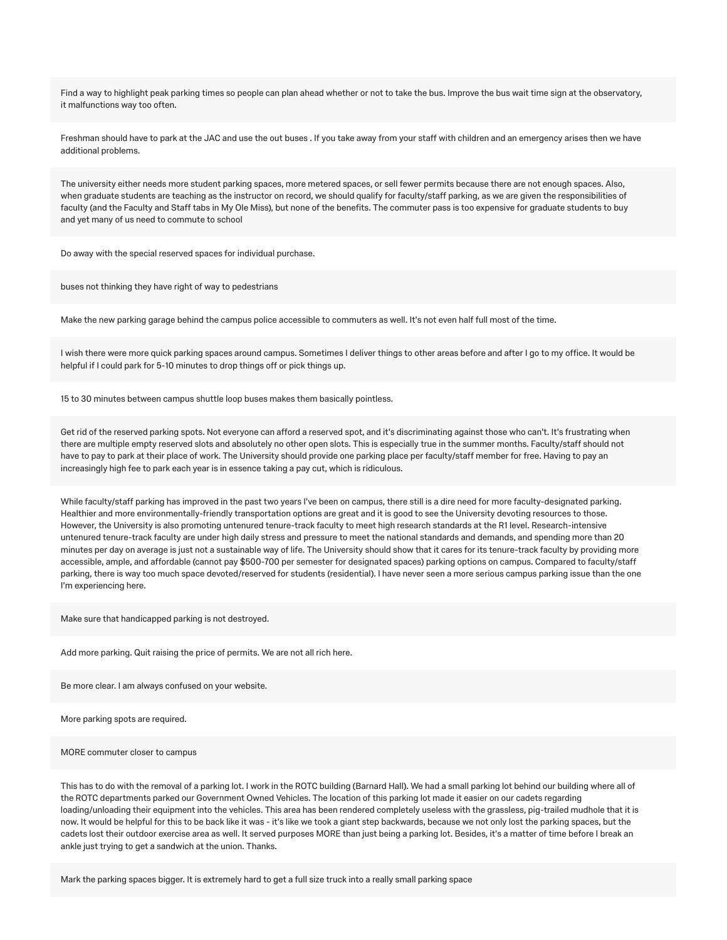Find a way to highlight peak parking times so people can plan ahead whether or not to take the bus. Improve the bus wait time sign at the observatory, it malfunctions way too often.

Freshman should have to park at the JAC and use the out buses . If you take away from your staff with children and an emergency arises then we have additional problems.

The university either needs more student parking spaces, more metered spaces, or sell fewer permits because there are not enough spaces. Also, when graduate students are teaching as the instructor on record, we should qualify for faculty/staff parking, as we are given the responsibilities of faculty (and the Faculty and Staff tabs in My Ole Miss), but none of the benefits. The commuter pass is too expensive for graduate students to buy and yet many of us need to commute to school

Do away with the special reserved spaces for individual purchase.

buses not thinking they have right of way to pedestrians

Make the new parking garage behind the campus police accessible to commuters as well. It's not even half full most of the time.

I wish there were more quick parking spaces around campus. Sometimes I deliver things to other areas before and after I go to my office. It would be helpful if I could park for 5-10 minutes to drop things off or pick things up.

15 to 30 minutes between campus shuttle loop buses makes them basically pointless.

Get rid of the reserved parking spots. Not everyone can afford a reserved spot, and it's discriminating against those who can't. It's frustrating when there are multiple empty reserved slots and absolutely no other open slots. This is especially true in the summer months. Faculty/staff should not have to pay to park at their place of work. The University should provide one parking place per faculty/staff member for free. Having to pay an increasingly high fee to park each year is in essence taking a pay cut, which is ridiculous.

While faculty/staff parking has improved in the past two years I've been on campus, there still is a dire need for more faculty-designated parking. Healthier and more environmentally-friendly transportation options are great and it is good to see the University devoting resources to those. However, the University is also promoting untenured tenure-track faculty to meet high research standards at the R1 level. Research-intensive untenured tenure-track faculty are under high daily stress and pressure to meet the national standards and demands, and spending more than 20 minutes per day on average is just not a sustainable way of life. The University should show that it cares for its tenure-track faculty by providing more accessible, ample, and affordable (cannot pay \$500-700 per semester for designated spaces) parking options on campus. Compared to faculty/staff parking, there is way too much space devoted/reserved for students (residential). I have never seen a more serious campus parking issue than the one I'm experiencing here.

Make sure that handicapped parking is not destroyed.

Add more parking. Quit raising the price of permits. We are not all rich here.

Be more clear. I am always confused on your website.

More parking spots are required.

MORE commuter closer to campus

This has to do with the removal of a parking lot. I work in the ROTC building (Barnard Hall). We had a small parking lot behind our building where all of the ROTC departments parked our Government Owned Vehicles. The location of this parking lot made it easier on our cadets regarding loading/unloading their equipment into the vehicles. This area has been rendered completely useless with the grassless, pig-trailed mudhole that it is now. It would be helpful for this to be back like it was - it's like we took a giant step backwards, because we not only lost the parking spaces, but the cadets lost their outdoor exercise area as well. It served purposes MORE than just being a parking lot. Besides, it's a matter of time before I break an ankle just trying to get a sandwich at the union. Thanks.

Mark the parking spaces bigger. It is extremely hard to get a full size truck into a really small parking space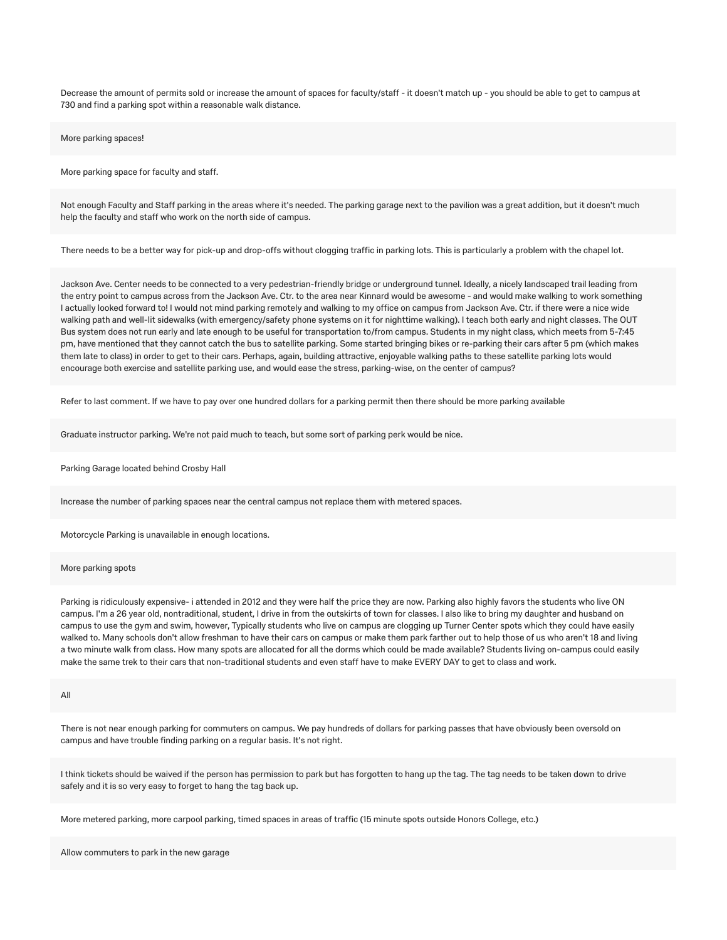Decrease the amount of permits sold or increase the amount of spaces for faculty/staff - it doesn't match up - you should be able to get to campus at 730 and find a parking spot within a reasonable walk distance.

More parking spaces!

More parking space for faculty and staff.

Not enough Faculty and Staff parking in the areas where it's needed. The parking garage next to the pavilion was a great addition, but it doesn't much help the faculty and staff who work on the north side of campus.

There needs to be a better way for pick-up and drop-offs without clogging traffic in parking lots. This is particularly a problem with the chapel lot.

Jackson Ave. Center needs to be connected to a very pedestrian-friendly bridge or underground tunnel. Ideally, a nicely landscaped trail leading from the entry point to campus across from the Jackson Ave. Ctr. to the area near Kinnard would be awesome - and would make walking to work something I actually looked forward to! I would not mind parking remotely and walking to my office on campus from Jackson Ave. Ctr. if there were a nice wide walking path and well-lit sidewalks (with emergency/safety phone systems on it for nighttime walking). I teach both early and night classes. The OUT Bus system does not run early and late enough to be useful for transportation to/from campus. Students in my night class, which meets from 5-7:45 pm, have mentioned that they cannot catch the bus to satellite parking. Some started bringing bikes or re-parking their cars after 5 pm (which makes them late to class) in order to get to their cars. Perhaps, again, building attractive, enjoyable walking paths to these satellite parking lots would encourage both exercise and satellite parking use, and would ease the stress, parking-wise, on the center of campus?

Refer to last comment. If we have to pay over one hundred dollars for a parking permit then there should be more parking available

Graduate instructor parking. We're not paid much to teach, but some sort of parking perk would be nice.

Parking Garage located behind Crosby Hall

Increase the number of parking spaces near the central campus not replace them with metered spaces.

Motorcycle Parking is unavailable in enough locations.

More parking spots

Parking is ridiculously expensive- i attended in 2012 and they were half the price they are now. Parking also highly favors the students who live ON campus. I'm a 26 year old, nontraditional, student, I drive in from the outskirts of town for classes. I also like to bring my daughter and husband on campus to use the gym and swim, however, Typically students who live on campus are clogging up Turner Center spots which they could have easily walked to. Many schools don't allow freshman to have their cars on campus or make them park farther out to help those of us who aren't 18 and living a two minute walk from class. How many spots are allocated for all the dorms which could be made available? Students living on-campus could easily make the same trek to their cars that non-traditional students and even staff have to make EVERY DAY to get to class and work.

#### All

There is not near enough parking for commuters on campus. We pay hundreds of dollars for parking passes that have obviously been oversold on campus and have trouble finding parking on a regular basis. It's not right.

I think tickets should be waived if the person has permission to park but has forgotten to hang up the tag. The tag needs to be taken down to drive safely and it is so very easy to forget to hang the tag back up.

More metered parking, more carpool parking, timed spaces in areas of traffic (15 minute spots outside Honors College, etc.)

Allow commuters to park in the new garage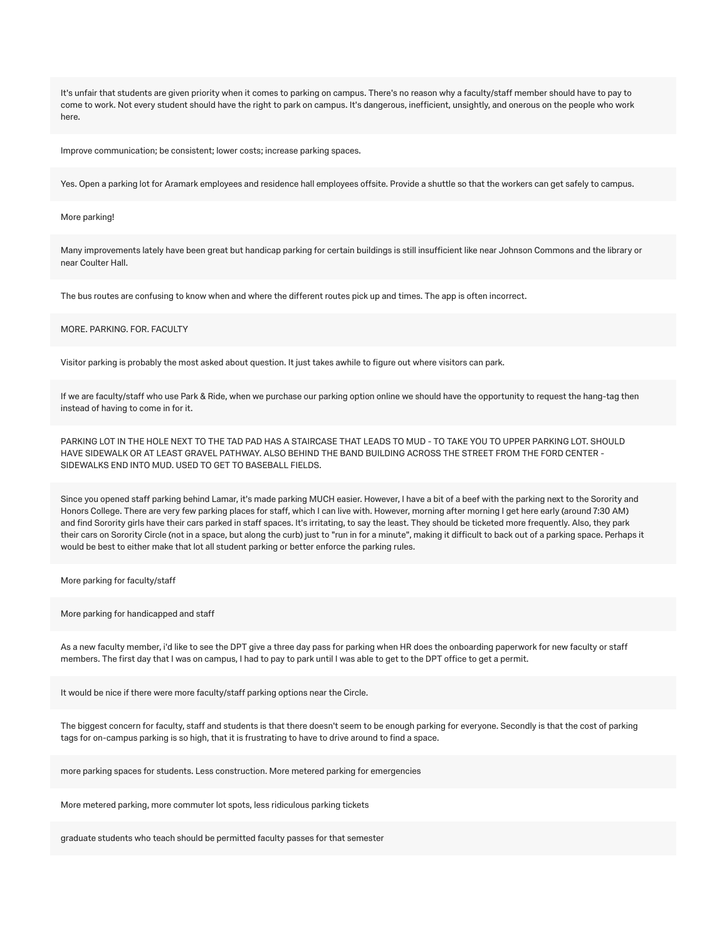It's unfair that students are given priority when it comes to parking on campus. There's no reason why a faculty/staff member should have to pay to come to work. Not every student should have the right to park on campus. It's dangerous, inefficient, unsightly, and onerous on the people who work here.

Improve communication; be consistent; lower costs; increase parking spaces.

Yes. Open a parking lot for Aramark employees and residence hall employees offsite. Provide a shuttle so that the workers can get safely to campus.

#### More parking!

Many improvements lately have been great but handicap parking for certain buildings is still insufficient like near Johnson Commons and the library or near Coulter Hall.

The bus routes are confusing to know when and where the different routes pick up and times. The app is often incorrect.

#### MORE. PARKING. FOR. FACULTY

Visitor parking is probably the most asked about question. It just takes awhile to figure out where visitors can park.

If we are faculty/staff who use Park & Ride, when we purchase our parking option online we should have the opportunity to request the hang-tag then instead of having to come in for it.

PARKING LOT IN THE HOLE NEXT TO THE TAD PAD HAS A STAIRCASE THAT LEADS TO MUD - TO TAKE YOU TO UPPER PARKING LOT. SHOULD HAVE SIDEWALK OR AT LEAST GRAVEL PATHWAY. ALSO BEHIND THE BAND BUILDING ACROSS THE STREET FROM THE FORD CENTER - SIDEWALKS END INTO MUD. USED TO GET TO BASEBALL FIELDS.

Since you opened staff parking behind Lamar, it's made parking MUCH easier. However, I have a bit of a beef with the parking next to the Sorority and Honors College. There are very few parking places for staff, which I can live with. However, morning after morning I get here early (around 7:30 AM) and find Sorority girls have their cars parked in staff spaces. It's irritating, to say the least. They should be ticketed more frequently. Also, they park their cars on Sorority Circle (not in a space, but along the curb) just to "run in for a minute", making it difficult to back out of a parking space. Perhaps it would be best to either make that lot all student parking or better enforce the parking rules.

More parking for faculty/staff

More parking for handicapped and staff

As a new faculty member, i'd like to see the DPT give a three day pass for parking when HR does the onboarding paperwork for new faculty or staff members. The first day that I was on campus, I had to pay to park until I was able to get to the DPT office to get a permit.

It would be nice if there were more faculty/staff parking options near the Circle.

The biggest concern for faculty, staff and students is that there doesn't seem to be enough parking for everyone. Secondly is that the cost of parking tags for on-campus parking is so high, that it is frustrating to have to drive around to find a space.

more parking spaces for students. Less construction. More metered parking for emergencies

More metered parking, more commuter lot spots, less ridiculous parking tickets

graduate students who teach should be permitted faculty passes for that semester